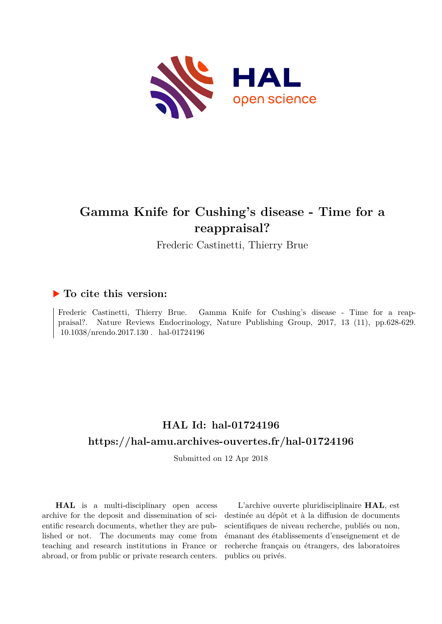

## **Gamma Knife for Cushing's disease - Time for a reappraisal?**

Frederic Castinetti, Thierry Brue

### **To cite this version:**

Frederic Castinetti, Thierry Brue. Gamma Knife for Cushing's disease - Time for a reappraisal?. Nature Reviews Endocrinology, Nature Publishing Group, 2017, 13 (11), pp.628-629. 10.1038/nrendo.2017.130 hal-01724196

## **HAL Id: hal-01724196 <https://hal-amu.archives-ouvertes.fr/hal-01724196>**

Submitted on 12 Apr 2018

**HAL** is a multi-disciplinary open access archive for the deposit and dissemination of scientific research documents, whether they are published or not. The documents may come from teaching and research institutions in France or abroad, or from public or private research centers.

L'archive ouverte pluridisciplinaire **HAL**, est destinée au dépôt et à la diffusion de documents scientifiques de niveau recherche, publiés ou non, émanant des établissements d'enseignement et de recherche français ou étrangers, des laboratoires publics ou privés.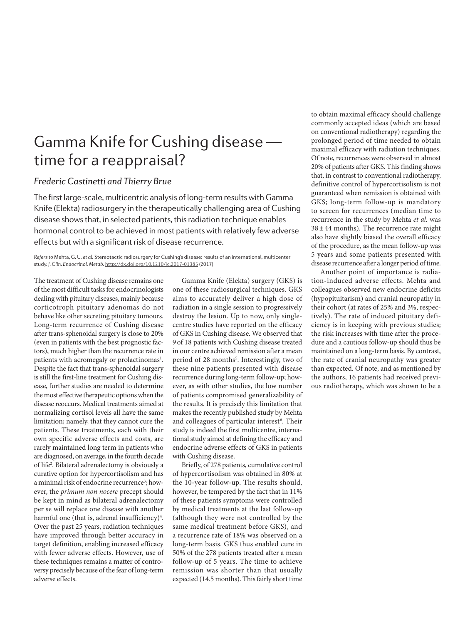# Gamma Knife for Cushing disease time for a reappraisal?

### *Frederic Castinetti and Thierry Brue*

The first large-scale, multicentric analysis of long-term results with Gamma Knife (Elekta) radiosurgery in the therapeutically challenging area of Cushing disease shows that, in selected patients, this radiation technique enables hormonal control to be achieved in most patients with relatively few adverse effects but with a significant risk of disease recurrence.

*Refers to* Mehta, G. U. *et al.* Stereotactic radiosurgery for Cushing's disease: results of an international, multicenter study. *J. Clin. Endocrinol. Metab.* <http://dx.doi.org/10.1210/jc.2017-01385> (2017)

The treatment of Cushing disease remains one of the most difficult tasks for endocrinologists dealing with pituitary diseases, mainly because corticotroph pituitary adenomas do not behave like other secreting pituitary tumours. Long-term recurrence of Cushing disease after trans-sphenoidal surgery is close to 20% (even in patients with the best prognostic factors), much higher than the recurrence rate in patients with acromegaly or prolactinomas<sup>1</sup>. Despite the fact that trans-sphenoidal surgery is still the first-line treatment for Cushing disease, further studies are needed to determine the most effective therapeutic options when the disease reoccurs. Medical treatments aimed at normalizing cortisol levels all have the same limitation; namely, that they cannot cure the patients. These treatments, each with their own specific adverse effects and costs, are rarely maintained long term in patients who are diagnosed, on average, in the fourth decade of life2 . Bilateral adrenalectomy is obviously a curative option for hypercortisolism and has a minimal risk of endocrine recurrence<sup>3</sup>; however, the *primum non nocere* precept should be kept in mind as bilateral adrenalectomy per se will replace one disease with another harmful one (that is, adrenal insufficiency)<sup>4</sup>. Over the past 25 years, radiation techniques have improved through better accuracy in target definition, enabling increased efficacy with fewer adverse effects. However, use of these techniques remains a matter of controversy precisely because of the fear of long-term adverse effects.

Gamma Knife (Elekta) surgery (GKS) is one of these radiosurgical techniques. GKS aims to accurately deliver a high dose of radiation in a single session to progressively destroy the lesion. Up to now, only singlecentre studies have reported on the efficacy of GKS in Cushing disease. We observed that 9of 18 patients with Cushing disease treated in our centre achieved remission after a mean period of 28 months<sup>5</sup>. Interestingly, two of these nine patients presented with disease recurrence during long-term follow-up; however, as with other studies, the low number of patients compromised generalizability of the results. It is precisely this limitation that makes the recently published study by Mehta and colleagues of particular interest<sup>6</sup>. Their study is indeed the first multicentre, international study aimed at defining the efficacy and endocrine adverse effects of GKS in patients with Cushing disease.

Briefly, of 278 patients, cumulative control of hypercortisolism was obtained in 80% at the 10-year follow-up. The results should, however, be tempered by the fact that in 11% of these patients symptoms were controlled by medical treatments at the last follow-up (although they were not controlled by the same medical treatment before GKS), and a recurrence rate of 18% was observed on a long-term basis. GKS thus enabled cure in 50% of the 278 patients treated after a mean follow-up of 5 years. The time to achieve remission was shorter than that usually expected (14.5 months). This fairly short time

to obtain maximal efficacy should challenge commonly accepted ideas (which are based on conventional radiotherapy) regarding the prolonged period of time needed to obtain maximal efficacy with radiation techniques. Of note, recurrences were observed in almost 20% of patients after GKS. This finding shows that, in contrast to conventional radiotherapy, definitive control of hypercortisolism is not guaranteed when remission is obtained with GKS; long-term follow-up is mandatory to screen for recurrences (median time to recurrence in the study by Mehta *et al.* was  $38 \pm 44$  months). The recurrence rate might also have slightly biased the overall efficacy of the procedure, as the mean follow-up was 5 years and some patients presented with disease recurrence after a longer period of time.

Another point of importance is radiation-induced adverse effects. Mehta and colleagues observed new endocrine deficits (hypopituitarism) and cranial neuropathy in their cohort (at rates of 25% and 3%, respectively). The rate of induced pituitary deficiency is in keeping with previous studies; the risk increases with time after the procedure and a cautious follow-up should thus be maintained on a long-term basis. By contrast, the rate of cranial neuropathy was greater than expected. Of note, and as mentioned by the authors, 16 patients had received previous radiotherapy, which was shown to be a